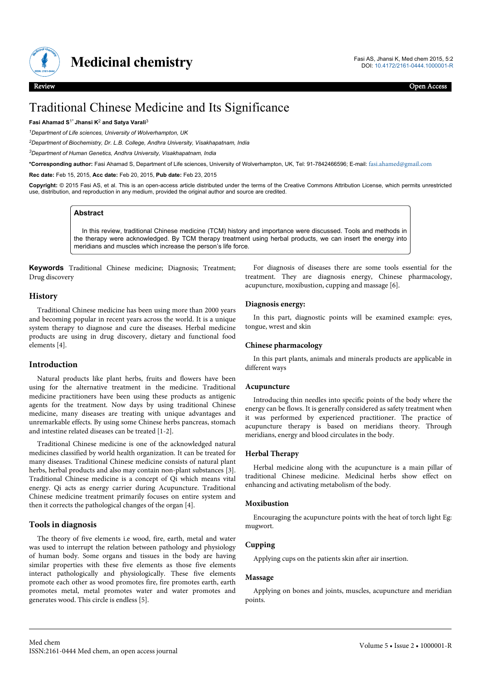

# Traditional Chinese Medicine and Its Significance

#### **Fasi Ahamad S**1\* **Jhansi K**<sup>2</sup>  **and Satya Varali**<sup>3</sup>

*<sup>1</sup>Department of Life sciences, University of Wolverhampton, UK*

*<sup>2</sup>Department of Biochemistry, Dr. L.B. College, Andhra University, Visakhapatnam, India*

*<sup>3</sup>Department of Human Genetics, Andhra University, Visakhapatnam, India*

**\*Corresponding author:** Fasi Ahamad S, Department of Life sciences, University of Wolverhampton, UK, Tel: 91-7842466596; E-mail: [fasi.ahamed@gmail.com](mailto:fasi.ahamed@gmail.com)

**Rec date:** Feb 15, 2015, **Acc date:** Feb 20, 2015, **Pub date:** Feb 23, 2015

**Copyright:** © 2015 Fasi AS, et al. This is an open-access article distributed under the terms of the Creative Commons Attribution License, which permits unrestricted use, distribution, and reproduction in any medium, provided the original author and source are credited.

# **Abstract**

In this review, traditional Chinese medicine (TCM) history and importance were discussed. Tools and methods in the therapy were acknowledged. By TCM therapy treatment using herbal products, we can insert the energy into meridians and muscles which increase the person's life force.

**Keywords** Traditional Chinese medicine; Diagnosis; Treatment; Drug discovery

# **History**

Traditional Chinese medicine has been using more than 2000 years and becoming popular in recent years across the world. It is a unique system therapy to diagnose and cure the diseases. Herbal medicine products are using in drug discovery, dietary and functional food elements [4].

# **Introduction**

Natural products like plant herbs, fruits and flowers have been using for the alternative treatment in the medicine. Traditional medicine practitioners have been using these products as antigenic agents for the treatment. Now days by using traditional Chinese medicine, many diseases are treating with unique advantages and unremarkable effects. By using some Chinese herbs pancreas, stomach and intestine related diseases can be treated [1-2].

Traditional Chinese medicine is one of the acknowledged natural medicines classified by world health organization. It can be treated for many diseases. Traditional Chinese medicine consists of natural plant herbs, herbal products and also may contain non-plant substances [3]. Traditional Chinese medicine is a concept of Qi which means vital energy. Qi acts as energy carrier during Acupuncture. Traditional Chinese medicine treatment primarily focuses on entire system and then it corrects the pathological changes of the organ [4].

# **Tools in diagnosis**

The theory of five elements i.e wood, fire, earth, metal and water was used to interrupt the relation between pathology and physiology of human body. Some organs and tissues in the body are having similar properties with these five elements as those five elements interact pathologically and physiologically. These five elements promote each other as wood promotes fire, fire promotes earth, earth promotes metal, metal promotes water and water promotes and generates wood. This circle is endless [5].

For diagnosis of diseases there are some tools essential for the treatment. They are diagnosis energy, Chinese pharmacology, acupuncture, moxibustion, cupping and massage [6].

# **Diagnosis energy:**

In this part, diagnostic points will be examined example: eyes, tongue, wrest and skin

# **Chinese pharmacology**

In this part plants, animals and minerals products are applicable in different ways

#### **Acupuncture**

Introducing thin needles into specific points of the body where the energy can be flows. It is generally considered as safety treatment when it was performed by experienced practitioner. The practice of acupuncture therapy is based on meridians theory. Through meridians, energy and blood circulates in the body.

# **Herbal Therapy**

Herbal medicine along with the acupuncture is a main pillar of traditional Chinese medicine. Medicinal herbs show effect on enhancing and activating metabolism of the body.

#### **Moxibustion**

Encouraging the acupuncture points with the heat of torch light Eg: mugwort.

# **Cupping**

Applying cups on the patients skin after air insertion.

#### **Massage**

Applying on bones and joints, muscles, acupuncture and meridian points.